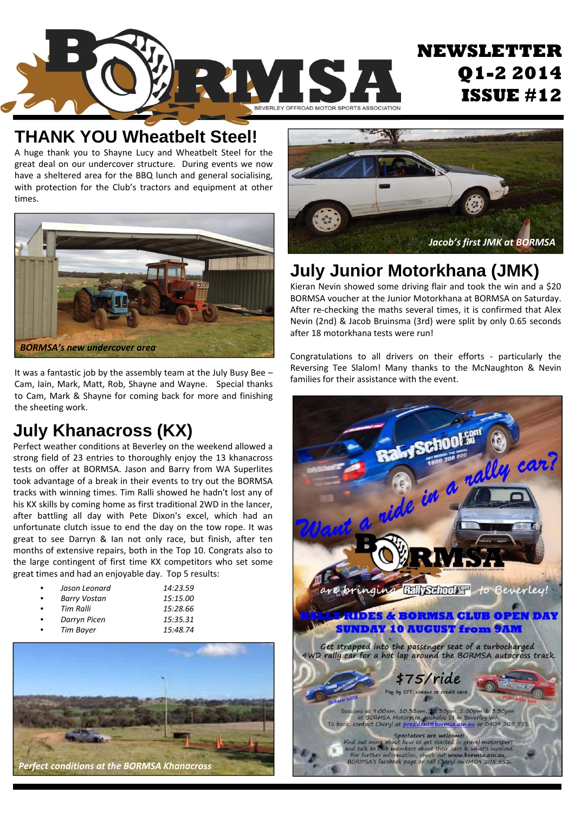

#### **THANK YOU Wheatbelt Steel!**

A huge thank you to Shayne Lucy and Wheatbelt Steel for the great deal on our undercover structure. During events we now have a sheltered area for the BBQ lunch and general socialising, with protection for the Club's tractors and equipment at other times.



It was a fantastic job by the assembly team at the July Busy Bee – Cam, Iain, Mark, Matt, Rob, Shayne and Wayne. Special thanks to Cam, Mark & Shayne for coming back for more and finishing the sheeting work.

### **July Khanacross (KX)**

Perfect weather conditions at Beverley on the weekend allowed a strong field of 23 entries to thoroughly enjoy the 13 khanacross tests on offer at BORMSA. Jason and Barry from WA Superlites took advantage of a break in their events to try out the BORMSA tracks with winning times. Tim Ralli showed he hadn't lost any of his KX skills by coming home as first traditional 2WD in the lancer, after battling all day with Pete Dixon's excel, which had an unfortunate clutch issue to end the day on the tow rope. It was great to see Darryn & Ian not only race, but finish, after ten months of extensive repairs, both in the Top 10. Congrats also to the large contingent of first time KX competitors who set some great times and had an enjoyable day. Top 5 results:

|   | Jason Leonard |
|---|---------------|
|   | Barry Vostan  |
| n | Tim Ralli     |
|   | Darryn Picen  |

• *Jason Leonard 14:23.59* • *Barry Vostan 15:15.00* • *Tim Ralli 15:28.66* • *Darryn Picen 15:35.31*





### **July Junior Motorkhana (JMK)**

Kieran Nevin showed some driving flair and took the win and a \$20 BORMSA voucher at the Junior Motorkhana at BORMSA on Saturday. After re-checking the maths several times, it is confirmed that Alex Nevin (2nd) & Jacob Bruinsma (3rd) were split by only 0.65 seconds after 18 motorkhana tests were run!

Congratulations to all drivers on their efforts ‐ particularly the Reversing Tee Slalom! Many thanks to the McNaughton & Nevin families for their assistance with the event.